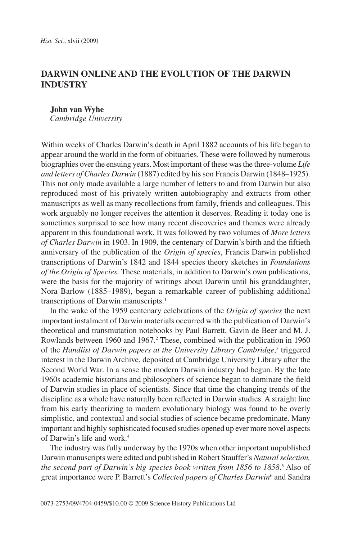# **DARWIN ONLINE AND THE EVOLUTION OF THE DARWIN INDUSTRY**

# **John van Wyhe**

*Cambridge University*

Within weeks of Charles Darwin's death in April 1882 accounts of his life began to appear around the world in the form of obituaries. These were followed by numerous biographies over the ensuing years. Most important of these was the three-volume *Life and letters of Charles Darwin* (1887) edited by his son Francis Darwin (1848–1925). This not only made available a large number of letters to and from Darwin but also reproduced most of his privately written autobiography and extracts from other manuscripts as well as many recollections from family, friends and colleagues. This work arguably no longer receives the attention it deserves. Reading it today one is sometimes surprised to see how many recent discoveries and themes were already apparent in this foundational work. It was followed by two volumes of *More letters of Charles Darwin* in 1903. In 1909, the centenary of Darwin's birth and the fiftieth anniversary of the publication of the *Origin of species*, Francis Darwin published transcriptions of Darwin's 1842 and 1844 species theory sketches in *Foundations of the Origin of Species*. These materials, in addition to Darwin's own publications, were the basis for the majority of writings about Darwin until his granddaughter, Nora Barlow (1885–1989), began a remarkable career of publishing additional transcriptions of Darwin manuscripts.<sup>1</sup>

In the wake of the 1959 centenary celebrations of the *Origin of species* the next important instalment of Darwin materials occurred with the publication of Darwin's theoretical and transmutation notebooks by Paul Barrett, Gavin de Beer and M. J. Rowlands between 1960 and 1967.<sup>2</sup> These, combined with the publication in 1960 of the *Handlist of Darwin papers at the University Library Cambridge*,<sup>3</sup> triggered interest in the Darwin Archive, deposited at Cambridge University Library after the Second World War. In a sense the modern Darwin industry had begun. By the late 1960s academic historians and philosophers of science began to dominate the field of Darwin studies in place of scientists. Since that time the changing trends of the discipline as a whole have naturally been reflected in Darwin studies. A straight line from his early theorizing to modern evolutionary biology was found to be overly simplistic, and contextual and social studies of science became predominate. Many important and highly sophisticated focused studies opened up ever more novel aspects of Darwin's life and work.4

The industry was fully underway by the 1970s when other important unpublished Darwin manuscripts were edited and published in Robert Stauffer's *Natural selection,*  the second part of Darwin's big species book written from 1856 to 1858.<sup>5</sup> Also of great importance were P. Barrett's *Collected papers of Charles Darwin*<sup>6</sup> and Sandra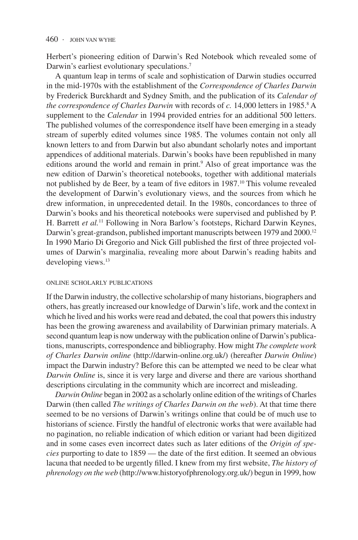Herbert's pioneering edition of Darwin's Red Notebook which revealed some of Darwin's earliest evolutionary speculations.<sup>7</sup>

A quantum leap in terms of scale and sophistication of Darwin studies occurred in the mid-1970s with the establishment of the *Correspondence of Charles Darwin* by Frederick Burckhardt and Sydney Smith, and the publication of its *Calendar of*  the correspondence of Charles Darwin with records of *c*. 14,000 letters in 1985.<sup>8</sup> A supplement to the *Calendar* in 1994 provided entries for an additional 500 letters. The published volumes of the correspondence itself have been emerging in a steady stream of superbly edited volumes since 1985. The volumes contain not only all known letters to and from Darwin but also abundant scholarly notes and important appendices of additional materials. Darwin's books have been republished in many editions around the world and remain in print.<sup>9</sup> Also of great importance was the new edition of Darwin's theoretical notebooks, together with additional materials not published by de Beer, by a team of five editors in 1987.10 This volume revealed the development of Darwin's evolutionary views, and the sources from which he drew information, in unprecedented detail. In the 1980s, concordances to three of Darwin's books and his theoretical notebooks were supervised and published by P. H. Barrett et al.<sup>11</sup> Following in Nora Barlow's footsteps, Richard Darwin Keynes, Darwin's great-grandson, published important manuscripts between 1979 and 2000.<sup>12</sup> In 1990 Mario Di Gregorio and Nick Gill published the first of three projected volumes of Darwin's marginalia, revealing more about Darwin's reading habits and developing views.<sup>13</sup>

### ONLINE SCHOLARLY PUBLICATIONS

If the Darwin industry, the collective scholarship of many historians, biographers and others, has greatly increased our knowledge of Darwin's life, work and the context in which he lived and his works were read and debated, the coal that powers this industry has been the growing awareness and availability of Darwinian primary materials. A second quantum leap is now underway with the publication online of Darwin's publications, manuscripts, correspondence and bibliography. How might *The complete work of Charles Darwin online* (http://darwin-online.org.uk/) (hereafter *Darwin Online*) impact the Darwin industry? Before this can be attempted we need to be clear what *Darwin Online* is, since it is very large and diverse and there are various shorthand descriptions circulating in the community which are incorrect and misleading.

*Darwin Online* began in 2002 as a scholarly online edition of the writings of Charles Darwin (then called *The writings of Charles Darwin on the web*). At that time there seemed to be no versions of Darwin's writings online that could be of much use to historians of science. Firstly the handful of electronic works that were available had no pagination, no reliable indication of which edition or variant had been digitized and in some cases even incorrect dates such as later editions of the *Origin of species* purporting to date to 1859 — the date of the first edition. It seemed an obvious lacuna that needed to be urgently filled. I knew from my first website, *The history of phrenology on the web* (http://www.historyofphrenology.org.uk/) begun in 1999, how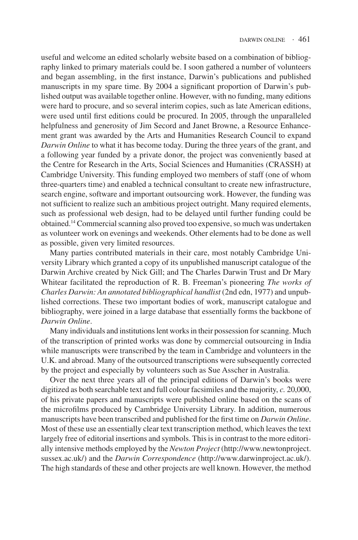useful and welcome an edited scholarly website based on a combination of bibliography linked to primary materials could be. I soon gathered a number of volunteers and began assembling, in the first instance, Darwin's publications and published manuscripts in my spare time. By 2004 a significant proportion of Darwin's published output was available together online. However, with no funding, many editions were hard to procure, and so several interim copies, such as late American editions, were used until first editions could be procured. In 2005, through the unparalleled helpfulness and generosity of Jim Secord and Janet Browne, a Resource Enhancement grant was awarded by the Arts and Humanities Research Council to expand *Darwin Online* to what it has become today. During the three years of the grant, and a following year funded by a private donor, the project was conveniently based at the Centre for Research in the Arts, Social Sciences and Humanities (CRASSH) at Cambridge University. This funding employed two members of staff (one of whom three-quarters time) and enabled a technical consultant to create new infrastructure, search engine, software and important outsourcing work. However, the funding was not sufficient to realize such an ambitious project outright. Many required elements, such as professional web design, had to be delayed until further funding could be obtained.14 Commercial scanning also proved too expensive, so much was undertaken as volunteer work on evenings and weekends. Other elements had to be done as well as possible, given very limited resources.

Many parties contributed materials in their care, most notably Cambridge University Library which granted a copy of its unpublished manuscript catalogue of the Darwin Archive created by Nick Gill; and The Charles Darwin Trust and Dr Mary Whitear facilitated the reproduction of R. B. Freeman's pioneering *The works of Charles Darwin: An annotated bibliographical handlist* (2nd edn, 1977) and unpublished corrections. These two important bodies of work, manuscript catalogue and bibliography, were joined in a large database that essentially forms the backbone of *Darwin Online*.

Many individuals and institutions lent works in their possession for scanning. Much of the transcription of printed works was done by commercial outsourcing in India while manuscripts were transcribed by the team in Cambridge and volunteers in the U.K. and abroad. Many of the outsourced transcriptions were subsequently corrected by the project and especially by volunteers such as Sue Asscher in Australia.

Over the next three years all of the principal editions of Darwin's books were digitized as both searchable text and full colour facsimiles and the majority, *c.* 20,000, of his private papers and manuscripts were published online based on the scans of the microfilms produced by Cambridge University Library. In addition, numerous manuscripts have been transcribed and published for the first time on *Darwin Online*. Most of these use an essentially clear text transcription method, which leaves the text largely free of editorial insertions and symbols. This is in contrast to the more editorially intensive methods employed by the *Newton Project* (http://www.newtonproject. sussex.ac.uk/) and the *Darwin Correspondence* (http://www.darwinproject.ac.uk/). The high standards of these and other projects are well known. However, the method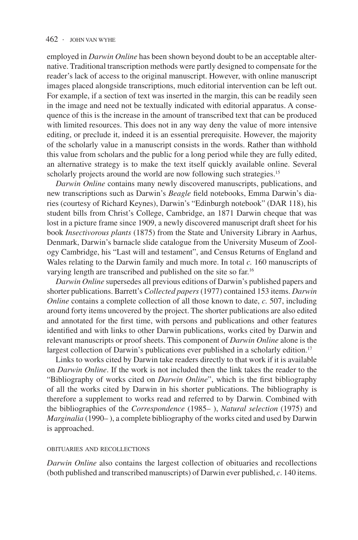#### 462 · JOHN VAN WYHE

employed in *Darwin Online* has been shown beyond doubt to be an acceptable alternative. Traditional transcription methods were partly designed to compensate for the reader's lack of access to the original manuscript. However, with online manuscript images placed alongside transcriptions, much editorial intervention can be left out. For example, if a section of text was inserted in the margin, this can be readily seen in the image and need not be textually indicated with editorial apparatus. A consequence of this is the increase in the amount of transcribed text that can be produced with limited resources. This does not in any way deny the value of more intensive editing, or preclude it, indeed it is an essential prerequisite. However, the majority of the scholarly value in a manuscript consists in the words. Rather than withhold this value from scholars and the public for a long period while they are fully edited, an alternative strategy is to make the text itself quickly available online. Several scholarly projects around the world are now following such strategies.<sup>15</sup>

*Darwin Online* contains many newly discovered manuscripts, publications, and new transcriptions such as Darwin's *Beagle* field notebooks, Emma Darwin's diaries (courtesy of Richard Keynes), Darwin's "Edinburgh notebook" (DAR 118), his student bills from Christ's College, Cambridge, an 1871 Darwin cheque that was lost in a picture frame since 1909, a newly discovered manuscript draft sheet for his book *Insectivorous plants* (1875) from the State and University Library in Aarhus, Denmark, Darwin's barnacle slide catalogue from the University Museum of Zoology Cambridge, his "Last will and testament", and Census Returns of England and Wales relating to the Darwin family and much more. In total *c.* 160 manuscripts of varying length are transcribed and published on the site so far.16

*Darwin Online* supersedes all previous editions of Darwin's published papers and shorter publications. Barrett's *Collected papers* (1977) contained 153 items. *Darwin Online* contains a complete collection of all those known to date, *c.* 507, including around forty items uncovered by the project. The shorter publications are also edited and annotated for the first time, with persons and publications and other features identified and with links to other Darwin publications, works cited by Darwin and relevant manuscripts or proof sheets. This component of *Darwin Online* alone is the largest collection of Darwin's publications ever published in a scholarly edition.<sup>17</sup>

Links to works cited by Darwin take readers directly to that work if it is available on *Darwin Online*. If the work is not included then the link takes the reader to the "Bibliography of works cited on *Darwin Online*", which is the first bibliography of all the works cited by Darwin in his shorter publications. The bibliography is therefore a supplement to works read and referred to by Darwin. Combined with the bibliographies of the *Correspondence* (1985– ), *Natural selection* (1975) and *Marginalia* (1990– ), a complete bibliography of the works cited and used by Darwin is approached.

#### OBITUARIES AND RECOLLECTIONS

*Darwin Online* also contains the largest collection of obituaries and recollections (both published and transcribed manuscripts) of Darwin ever published, *c*. 140 items.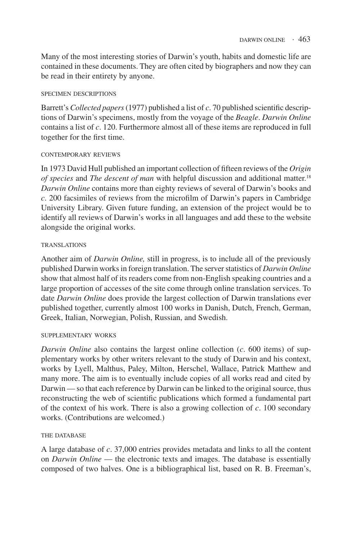Many of the most interesting stories of Darwin's youth, habits and domestic life are contained in these documents. They are often cited by biographers and now they can be read in their entirety by anyone.

# SPECIMEN DESCRIPTIONS

Barrett's *Collected papers* (1977) published a list of *c*. 70 published scientific descriptions of Darwin's specimens, mostly from the voyage of the *Beagle*. *Darwin Online* contains a list of *c*. 120. Furthermore almost all of these items are reproduced in full together for the first time.

# CONTEMPORARY REVIEWS

In 1973 David Hull published an important collection of fifteen reviews of the *Origin of species* and *The descent of man* with helpful discussion and additional matter.18 *Darwin Online* contains more than eighty reviews of several of Darwin's books and *c*. 200 facsimiles of reviews from the microfilm of Darwin's papers in Cambridge University Library. Given future funding, an extension of the project would be to identify all reviews of Darwin's works in all languages and add these to the website alongside the original works.

# TRANSLATIONS

Another aim of *Darwin Online,* still in progress, is to include all of the previously published Darwin works in foreign translation. The server statistics of *Darwin Online* show that almost half of its readers come from non-English speaking countries and a large proportion of accesses of the site come through online translation services. To date *Darwin Online* does provide the largest collection of Darwin translations ever published together, currently almost 100 works in Danish, Dutch, French, German, Greek, Italian, Norwegian, Polish, Russian, and Swedish.

# SUPPLEMENTARY WORKS

*Darwin Online* also contains the largest online collection (*c*. 600 items) of supplementary works by other writers relevant to the study of Darwin and his context, works by Lyell, Malthus, Paley, Milton, Herschel, Wallace, Patrick Matthew and many more. The aim is to eventually include copies of all works read and cited by Darwin — so that each reference by Darwin can be linked to the original source, thus reconstructing the web of scientific publications which formed a fundamental part of the context of his work. There is also a growing collection of *c*. 100 secondary works. (Contributions are welcomed.)

# THE DATABASE

A large database of *c*. 37,000 entries provides metadata and links to all the content on *Darwin Online* — the electronic texts and images. The database is essentially composed of two halves. One is a bibliographical list, based on R. B. Freeman's,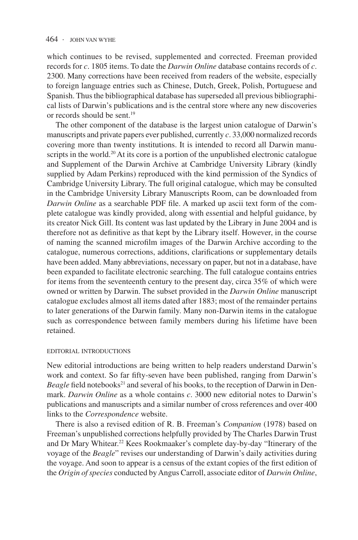which continues to be revised, supplemented and corrected. Freeman provided records for *c*. 1805 items. To date the *Darwin Online* database contains records of *c*. 2300. Many corrections have been received from readers of the website, especially to foreign language entries such as Chinese, Dutch, Greek, Polish, Portuguese and Spanish. Thus the bibliographical database has superseded all previous bibliographical lists of Darwin's publications and is the central store where any new discoveries or records should be sent.19

The other component of the database is the largest union catalogue of Darwin's manuscripts and private papers ever published, currently *c*. 33,000 normalized records covering more than twenty institutions. It is intended to record all Darwin manuscripts in the world.<sup>20</sup> At its core is a portion of the unpublished electronic catalogue and Supplement of the Darwin Archive at Cambridge University Library (kindly supplied by Adam Perkins) reproduced with the kind permission of the Syndics of Cambridge University Library. The full original catalogue, which may be consulted in the Cambridge University Library Manuscripts Room, can be downloaded from *Darwin Online* as a searchable PDF file. A marked up ascii text form of the complete catalogue was kindly provided, along with essential and helpful guidance, by its creator Nick Gill. Its content was last updated by the Library in June 2004 and is therefore not as definitive as that kept by the Library itself. However, in the course of naming the scanned microfilm images of the Darwin Archive according to the catalogue, numerous corrections, additions, clarifications or supplementary details have been added. Many abbreviations, necessary on paper, but not in a database, have been expanded to facilitate electronic searching. The full catalogue contains entries for items from the seventeenth century to the present day, circa 35% of which were owned or written by Darwin. The subset provided in the *Darwin Online* manuscript catalogue excludes almost all items dated after 1883; most of the remainder pertains to later generations of the Darwin family. Many non-Darwin items in the catalogue such as correspondence between family members during his lifetime have been retained.

### EDITORIAL INTRODUCTIONS

New editorial introductions are being written to help readers understand Darwin's work and context. So far fifty-seven have been published, ranging from Darwin's *Beagle* field notebooks<sup>21</sup> and several of his books, to the reception of Darwin in Denmark. *Darwin Online* as a whole contains *c*. 3000 new editorial notes to Darwin's publications and manuscripts and a similar number of cross references and over 400 links to the *Correspondence* website.

There is also a revised edition of R. B. Freeman's *Companion* (1978) based on Freeman's unpublished corrections helpfully provided by The Charles Darwin Trust and Dr Mary Whitear.22 Kees Rookmaaker's complete day-by-day "Itinerary of the voyage of the *Beagle*" revises our understanding of Darwin's daily activities during the voyage. And soon to appear is a census of the extant copies of the first edition of the *Origin of species* conducted by Angus Carroll, associate editor of *Darwin Online*,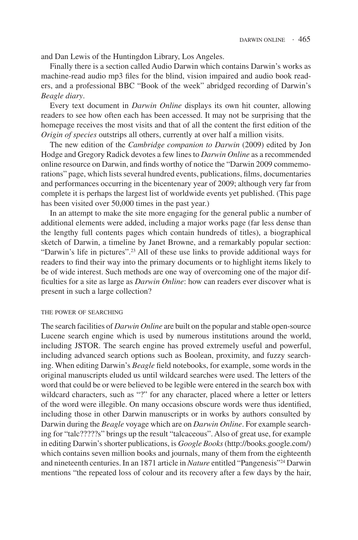and Dan Lewis of the Huntingdon Library, Los Angeles.

Finally there is a section called Audio Darwin which contains Darwin's works as machine-read audio mp3 files for the blind, vision impaired and audio book readers, and a professional BBC "Book of the week" abridged recording of Darwin's *Beagle diary*.

Every text document in *Darwin Online* displays its own hit counter, allowing readers to see how often each has been accessed. It may not be surprising that the homepage receives the most visits and that of all the content the first edition of the *Origin of species* outstrips all others, currently at over half a million visits.

The new edition of the *Cambridge companion to Darwin* (2009) edited by Jon Hodge and Gregory Radick devotes a few lines to *Darwin Online* as a recommended online resource on Darwin, and finds worthy of notice the "Darwin 2009 commemorations" page, which lists several hundred events, publications, films, documentaries and performances occurring in the bicentenary year of 2009; although very far from complete it is perhaps the largest list of worldwide events yet published. (This page has been visited over 50,000 times in the past year.)

In an attempt to make the site more engaging for the general public a number of additional elements were added, including a major works page (far less dense than the lengthy full contents pages which contain hundreds of titles), a biographical sketch of Darwin, a timeline by Janet Browne, and a remarkably popular section: "Darwin's life in pictures".23 All of these use links to provide additional ways for readers to find their way into the primary documents or to highlight items likely to be of wide interest. Such methods are one way of overcoming one of the major difficulties for a site as large as *Darwin Online*: how can readers ever discover what is present in such a large collection?

#### THE POWER OF SEARCHING

The search facilities of *Darwin Online* are built on the popular and stable open-source Lucene search engine which is used by numerous institutions around the world, including JSTOR. The search engine has proved extremely useful and powerful, including advanced search options such as Boolean, proximity, and fuzzy searching. When editing Darwin's *Beagle* field notebooks, for example, some words in the original manuscripts eluded us until wildcard searches were used. The letters of the word that could be or were believed to be legible were entered in the search box with wildcard characters, such as "?" for any character, placed where a letter or letters of the word were illegible. On many occasions obscure words were thus identified, including those in other Darwin manuscripts or in works by authors consulted by Darwin during the *Beagle* voyage which are on *Darwin Online*. For example searching for "talc?????s" brings up the result "talcaceous". Also of great use, for example in editing Darwin's shorter publications, is *Google Books* (http://books.google.com/) which contains seven million books and journals, many of them from the eighteenth and nineteenth centuries. In an 1871 article in *Nature* entitled "Pangenesis"24 Darwin mentions "the repeated loss of colour and its recovery after a few days by the hair,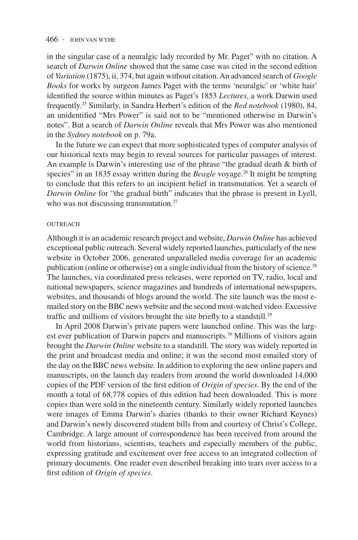in the singular case of a neuralgic lady recorded by Mr. Paget" with no citation. A search of *Darwin Online* showed that the same case was cited in the second edition of *Variation* (1875), ii, 374, but again without citation. An advanced search of *Google Books* for works by surgeon James Paget with the terms 'neuralgic' or 'white hair' identified the source within minutes as Paget's 1853 *Lectures*, a work Darwin used frequently.25 Similarly, in Sandra Herbert's edition of the *Red notebook* (1980), 84, an unidentified "Mrs Power" is said not to be "mentioned otherwise in Darwin's notes". But a search of *Darwin Online* reveals that Mrs Power was also mentioned in the *Sydney notebook* on p. 79a.

In the future we can expect that more sophisticated types of computer analysis of our historical texts may begin to reveal sources for particular passages of interest. An example is Darwin's interesting use of the phrase "the gradual death & birth of species" in an 1835 essay written during the *Beagle* voyage.<sup>26</sup> It might be tempting to conclude that this refers to an incipient belief in transmutation. Yet a search of *Darwin Online* for "the gradual birth" indicates that the phrase is present in Lyell, who was not discussing transmutation.<sup>27</sup>

#### OUTREACH

Although it is an academic research project and website, *Darwin Online* has achieved exceptional public outreach. Several widely reported launches, particularly of the new website in October 2006, generated unparalleled media coverage for an academic publication (online or otherwise) on a single individual from the history of science.<sup>28</sup> The launches, via coordinated press releases, were reported on TV, radio, local and national newspapers, science magazines and hundreds of international newspapers, websites, and thousands of blogs around the world. The site launch was the most emailed story on the BBC news website and the second most-watched video. Excessive traffic and millions of visitors brought the site briefly to a standstill.29

In April 2008 Darwin's private papers were launched online. This was the largest ever publication of Darwin papers and manuscripts.<sup>30</sup> Millions of visitors again brought the *Darwin Online* website to a standstill. The story was widely reported in the print and broadcast media and online; it was the second most emailed story of the day on the BBC news website. In addition to exploring the new online papers and manuscripts, on the launch day readers from around the world downloaded 14,000 copies of the PDF version of the first edition of *Origin of species*. By the end of the month a total of 68,778 copies of this edition had been downloaded. This is more copies than were sold in the nineteenth century. Similarly widely reported launches were images of Emma Darwin's diaries (thanks to their owner Richard Keynes) and Darwin's newly discovered student bills from and courtesy of Christ's College, Cambridge. A large amount of correspondence has been received from around the world from historians, scientists, teachers and especially members of the public, expressing gratitude and excitement over free access to an integrated collection of primary documents. One reader even described breaking into tears over access to a first edition of *Origin of species*.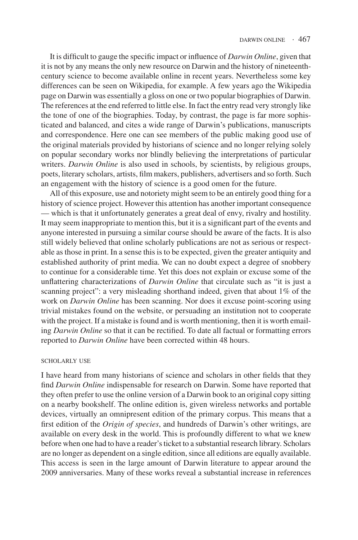It is difficult to gauge the specific impact or influence of *Darwin Online*, given that it is not by any means the only new resource on Darwin and the history of nineteenthcentury science to become available online in recent years. Nevertheless some key differences can be seen on Wikipedia, for example. A few years ago the Wikipedia page on Darwin was essentially a gloss on one or two popular biographies of Darwin. The references at the end referred to little else. In fact the entry read very strongly like the tone of one of the biographies. Today, by contrast, the page is far more sophisticated and balanced, and cites a wide range of Darwin's publications, manuscripts and correspondence. Here one can see members of the public making good use of the original materials provided by historians of science and no longer relying solely on popular secondary works nor blindly believing the interpretations of particular writers. *Darwin Online* is also used in schools, by scientists, by religious groups, poets, literary scholars, artists, film makers, publishers, advertisers and so forth. Such an engagement with the history of science is a good omen for the future.

All of this exposure, use and notoriety might seem to be an entirely good thing for a history of science project. However this attention has another important consequence — which is that it unfortunately generates a great deal of envy, rivalry and hostility. It may seem inappropriate to mention this, but it is a significant part of the events and anyone interested in pursuing a similar course should be aware of the facts. It is also still widely believed that online scholarly publications are not as serious or respectable as those in print. In a sense this is to be expected, given the greater antiquity and established authority of print media. We can no doubt expect a degree of snobbery to continue for a considerable time. Yet this does not explain or excuse some of the unflattering characterizations of *Darwin Online* that circulate such as "it is just a scanning project": a very misleading shorthand indeed, given that about 1% of the work on *Darwin Online* has been scanning. Nor does it excuse point-scoring using trivial mistakes found on the website, or persuading an institution not to cooperate with the project. If a mistake is found and is worth mentioning, then it is worth emailing *Darwin Online* so that it can be rectified. To date all factual or formatting errors reported to *Darwin Online* have been corrected within 48 hours.

### SCHOLARLY USE

I have heard from many historians of science and scholars in other fields that they find *Darwin Online* indispensable for research on Darwin. Some have reported that they often prefer to use the online version of a Darwin book to an original copy sitting on a nearby bookshelf. The online edition is, given wireless networks and portable devices, virtually an omnipresent edition of the primary corpus. This means that a first edition of the *Origin of species*, and hundreds of Darwin's other writings, are available on every desk in the world. This is profoundly different to what we knew before when one had to have a reader's ticket to a substantial research library. Scholars are no longer as dependent on a single edition, since all editions are equally available. This access is seen in the large amount of Darwin literature to appear around the 2009 anniversaries. Many of these works reveal a substantial increase in references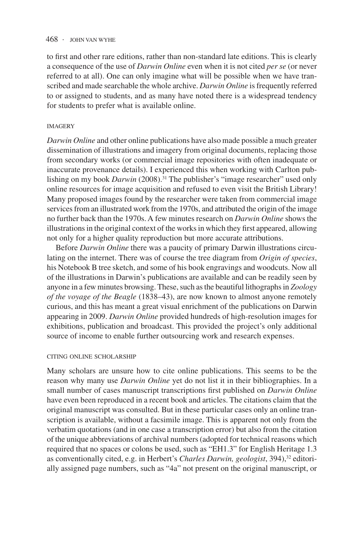#### 468 · JOHN VAN WYHE

to first and other rare editions, rather than non-standard late editions. This is clearly a consequence of the use of *Darwin Online* even when it is not cited *per se* (or never referred to at all). One can only imagine what will be possible when we have transcribed and made searchable the whole archive. *Darwin Online* is frequently referred to or assigned to students, and as many have noted there is a widespread tendency for students to prefer what is available online.

## IMAGERY

*Darwin Online* and other online publications have also made possible a much greater dissemination of illustrations and imagery from original documents, replacing those from secondary works (or commercial image repositories with often inadequate or inaccurate provenance details). I experienced this when working with Carlton publishing on my book *Darwin* (2008).<sup>31</sup> The publisher's "image researcher" used only online resources for image acquisition and refused to even visit the British Library! Many proposed images found by the researcher were taken from commercial image services from an illustrated work from the 1970s, and attributed the origin of the image no further back than the 1970s. A few minutes research on *Darwin Online* shows the illustrations in the original context of the works in which they first appeared, allowing not only for a higher quality reproduction but more accurate attributions.

Before *Darwin Online* there was a paucity of primary Darwin illustrations circulating on the internet. There was of course the tree diagram from *Origin of species*, his Notebook B tree sketch, and some of his book engravings and woodcuts. Now all of the illustrations in Darwin's publications are available and can be readily seen by anyone in a few minutes browsing. These, such as the beautiful lithographs in *Zoology of the voyage of the Beagle* (1838–43), are now known to almost anyone remotely curious, and this has meant a great visual enrichment of the publications on Darwin appearing in 2009. *Darwin Online* provided hundreds of high-resolution images for exhibitions, publication and broadcast. This provided the project's only additional source of income to enable further outsourcing work and research expenses.

### CITING ONLINE SCHOLARSHIP

Many scholars are unsure how to cite online publications. This seems to be the reason why many use *Darwin Online* yet do not list it in their bibliographies. In a small number of cases manuscript transcriptions first published on *Darwin Online* have even been reproduced in a recent book and articles. The citations claim that the original manuscript was consulted. But in these particular cases only an online transcription is available, without a facsimile image. This is apparent not only from the verbatim quotations (and in one case a transcription error) but also from the citation of the unique abbreviations of archival numbers (adopted for technical reasons which required that no spaces or colons be used, such as "EH1.3" for English Heritage 1.3 as conventionally cited, e.g. in Herbert's *Charles Darwin, geologist*, 394),<sup>32</sup> editorially assigned page numbers, such as "4a" not present on the original manuscript, or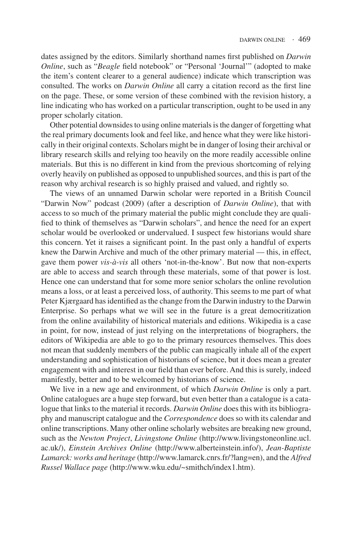dates assigned by the editors. Similarly shorthand names first published on *Darwin Online*, such as "*Beagle* field notebook" or "Personal 'Journal'" (adopted to make the item's content clearer to a general audience) indicate which transcription was consulted. The works on *Darwin Online* all carry a citation record as the first line on the page. These, or some version of these combined with the revision history, a line indicating who has worked on a particular transcription, ought to be used in any proper scholarly citation.

Other potential downsides to using online materials is the danger of forgetting what the real primary documents look and feel like, and hence what they were like historically in their original contexts. Scholars might be in danger of losing their archival or library research skills and relying too heavily on the more readily accessible online materials. But this is no different in kind from the previous shortcoming of relying overly heavily on published as opposed to unpublished sources, and this is part of the reason why archival research is so highly praised and valued, and rightly so.

The views of an unnamed Darwin scholar were reported in a British Council "Darwin Now" podcast (2009) (after a description of *Darwin Online*), that with access to so much of the primary material the public might conclude they are qualified to think of themselves as "Darwin scholars", and hence the need for an expert scholar would be overlooked or undervalued. I suspect few historians would share this concern. Yet it raises a significant point. In the past only a handful of experts knew the Darwin Archive and much of the other primary material — this, in effect, gave them power *vis-à-vis* all others 'not-in-the-know'. But now that non-experts are able to access and search through these materials, some of that power is lost. Hence one can understand that for some more senior scholars the online revolution means a loss, or at least a perceived loss, of authority. This seems to me part of what Peter Kjærgaard has identified as the change from the Darwin industry to the Darwin Enterprise. So perhaps what we will see in the future is a great democritization from the online availability of historical materials and editions. Wikipedia is a case in point, for now, instead of just relying on the interpretations of biographers, the editors of Wikipedia are able to go to the primary resources themselves. This does not mean that suddenly members of the public can magically inhale all of the expert understanding and sophistication of historians of science, but it does mean a greater engagement with and interest in our field than ever before. And this is surely, indeed manifestly, better and to be welcomed by historians of science.

We live in a new age and environment, of which *Darwin Online* is only a part. Online catalogues are a huge step forward, but even better than a catalogue is a catalogue that links to the material it records. *Darwin Online* does this with its bibliography and manuscript catalogue and the *Correspondence* does so with its calendar and online transcriptions. Many other online scholarly websites are breaking new ground, such as the *Newton Project*, *Livingstone Online* (http://www.livingstoneonline.ucl. ac.uk/), *Einstein Archives Online* (http://www.alberteinstein.info/), *Jean-Baptiste Lamarck: works and heritage* (http://www.lamarck.cnrs.fr/?lang=en), and the *Alfred Russel Wallace page* (http://www.wku.edu/~smithch/index1.htm).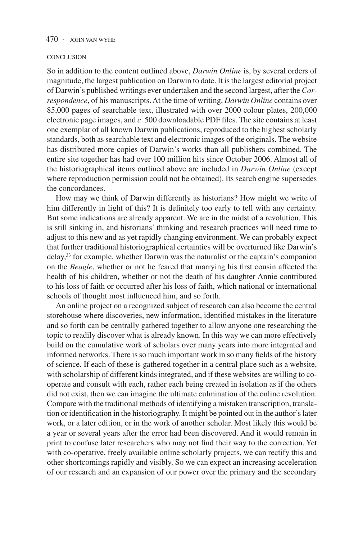#### $470 \cdot$  JOHN VAN WYHE

#### **CONCLUSION**

So in addition to the content outlined above, *Darwin Online* is, by several orders of magnitude, the largest publication on Darwin to date. It is the largest editorial project of Darwin's published writings ever undertaken and the second largest, after the *Correspondence*, of his manuscripts. At the time of writing, *Darwin Online* contains over 85,000 pages of searchable text, illustrated with over 2000 colour plates, 200,000 electronic page images, and *c*. 500 downloadable PDF files. The site contains at least one exemplar of all known Darwin publications, reproduced to the highest scholarly standards, both as searchable text and electronic images of the originals. The website has distributed more copies of Darwin's works than all publishers combined. The entire site together has had over 100 million hits since October 2006. Almost all of the historiographical items outlined above are included in *Darwin Online* (except where reproduction permission could not be obtained). Its search engine supersedes the concordances.

How may we think of Darwin differently as historians? How might we write of him differently in light of this? It is definitely too early to tell with any certainty. But some indications are already apparent. We are in the midst of a revolution. This is still sinking in, and historians' thinking and research practices will need time to adjust to this new and as yet rapidly changing environment. We can probably expect that further traditional historiographical certainties will be overturned like Darwin's delay,33 for example, whether Darwin was the naturalist or the captain's companion on the *Beagle*, whether or not he feared that marrying his first cousin affected the health of his children, whether or not the death of his daughter Annie contributed to his loss of faith or occurred after his loss of faith, which national or international schools of thought most influenced him, and so forth.

An online project on a recognized subject of research can also become the central storehouse where discoveries, new information, identified mistakes in the literature and so forth can be centrally gathered together to allow anyone one researching the topic to readily discover what is already known. In this way we can more effectively build on the cumulative work of scholars over many years into more integrated and informed networks. There is so much important work in so many fields of the history of science. If each of these is gathered together in a central place such as a website, with scholarship of different kinds integrated, and if these websites are willing to cooperate and consult with each, rather each being created in isolation as if the others did not exist, then we can imagine the ultimate culmination of the online revolution. Compare with the traditional methods of identifying a mistaken transcription, translation or identification in the historiography. It might be pointed out in the author's later work, or a later edition, or in the work of another scholar. Most likely this would be a year or several years after the error had been discovered. And it would remain in print to confuse later researchers who may not find their way to the correction. Yet with co-operative, freely available online scholarly projects, we can rectify this and other shortcomings rapidly and visibly. So we can expect an increasing acceleration of our research and an expansion of our power over the primary and the secondary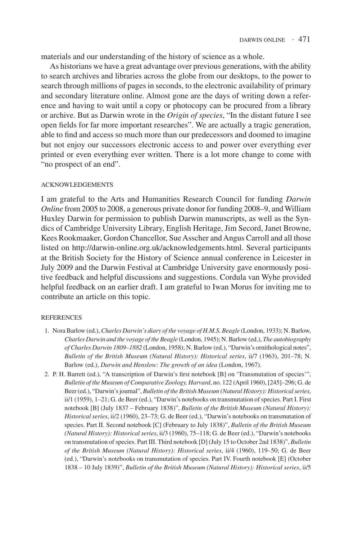materials and our understanding of the history of science as a whole.

As historians we have a great advantage over previous generations, with the ability to search archives and libraries across the globe from our desktops, to the power to search through millions of pages in seconds, to the electronic availability of primary and secondary literature online. Almost gone are the days of writing down a reference and having to wait until a copy or photocopy can be procured from a library or archive. But as Darwin wrote in the *Origin of species*, "In the distant future I see open fields for far more important researches". We are actually a tragic generation, able to find and access so much more than our predecessors and doomed to imagine but not enjoy our successors electronic access to and power over everything ever printed or even everything ever written. There is a lot more change to come with "no prospect of an end".

### ACKNOWLEDGEMENTS

I am grateful to the Arts and Humanities Research Council for funding *Darwin Online* from 2005 to 2008, a generous private donor for funding 2008–9, and William Huxley Darwin for permission to publish Darwin manuscripts, as well as the Syndics of Cambridge University Library, English Heritage, Jim Secord, Janet Browne, Kees Rookmaaker, Gordon Chancellor, Sue Asscher and Angus Carroll and all those listed on http://darwin-online.org.uk/acknowledgements.html. Several participants at the British Society for the History of Science annual conference in Leicester in July 2009 and the Darwin Festival at Cambridge University gave enormously positive feedback and helpful discussions and suggestions. Cordula van Wyhe provided helpful feedback on an earlier draft. I am grateful to Iwan Morus for inviting me to contribute an article on this topic.

### REFERENCES

- 1. Nora Barlow (ed.), *Charles Darwin's diary of the voyage of H.M.S. Beagle* (London, 1933); N. Barlow, *Charles Darwin and the voyage of the Beagle* (London, 1945); N. Barlow (ed.), *The autobiography of Charles Darwin 1809–1882* (London, 1958); N. Barlow (ed.), "Darwin's ornithological notes", *Bulletin of the British Museum (Natural History): Historical series*, ii/7 (1963), 201–78; N. Barlow (ed.), *Darwin and Henslow: The growth of an idea* (London, 1967).
- 2. P. H. Barrett (ed.), "A transcription of Darwin's first notebook [B] on 'Transmutation of species'", *Bulletin of the Museum of Comparative Zoology, Harvard*, no. 122 (April 1960), [245]–296; G. de Beer (ed.), "Darwin's journal", *Bulletin of the British Museum (Natural History): Historical series*, ii/1 (1959), 1–21; G. de Beer (ed.), "Darwin's notebooks on transmutation of species. Part I. First notebook [B] (July 1837 – February 1838)", *Bulletin of the British Museum (Natural History): Historical series*, ii/2 (1960), 23–73; G. de Beer (ed.), "Darwin's notebooks on transmutation of species. Part II. Second notebook [C] (February to July 1838)", *Bulletin of the British Museum (Natural History): Historical series*, ii/3 (1960), 75–118; G. de Beer (ed.), "Darwin's notebooks on transmutation of species. Part III. Third notebook [D] (July 15 to October 2nd 1838)", *Bulletin of the British Museum (Natural History): Historical series*, ii/4 (1960), 119–50; G. de Beer (ed.), "Darwin's notebooks on transmutation of species. Part IV. Fourth notebook [E] (October 1838 – 10 July 1839)", *Bulletin of the British Museum (Natural History): Historical series*, ii/5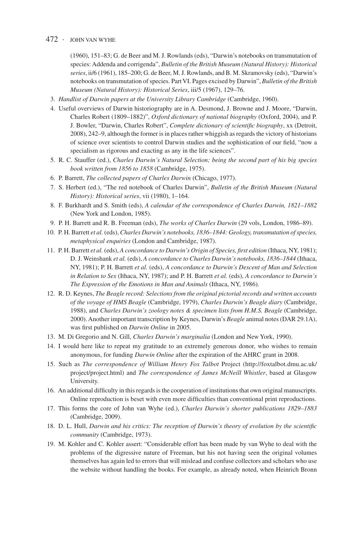### 472 · JOHN VAN WYHE

(1960), 151–83; G. de Beer and M. J. Rowlands (eds), "Darwin's notebooks on transmutation of species: Addenda and corrigenda", *Bulletin of the British Museum (Natural History): Historical series*, ii/6 (1961), 185–200; G. de Beer, M. J. Rowlands, and B. M. Skramovsky (eds), "Darwin's notebooks on transmutation of species. Part VI. Pages excised by Darwin", *Bulletin of the British Museum (Natural History): Historical Series*, iii/5 (1967), 129–76.

- 3. *Handlist of Darwin papers at the University Library Cambridge* (Cambridge, 1960).
- 4. Useful overviews of Darwin historiography are in A. Desmond, J. Browne and J. Moore, "Darwin, Charles Robert (1809–1882)", *Oxford dictionary of national biography* (Oxford, 2004), and P. J. Bowler, "Darwin, Charles Robert", *Complete dictionary of scientific biography*, xx (Detroit, 2008), 242–9, although the former is in places rather whiggish as regards the victory of historians of science over scientists to control Darwin studies and the sophistication of our field, "now a specialism as rigorous and exacting as any in the life sciences".
- 5. R. C. Stauffer (ed.), *Charles Darwin's Natural Selection; being the second part of his big species book written from 1856 to 1858* (Cambridge, 1975).
- 6. P. Barrett, *The collected papers of Charles Darwin* (Chicago, 1977).
- 7. S. Herbert (ed.), "The red notebook of Charles Darwin", *Bulletin of the British Museum (Natural History): Historical series*, vii (1980), 1–164.
- 8. F. Burkhardt and S. Smith (eds), *A calendar of the correspondence of Charles Darwin, 1821–1882* (New York and London, 1985).
- 9. P. H. Barrett and R. B. Freeman (eds), *The works of Charles Darwin* (29 vols, London, 1986–89).
- 10. P. H. Barrett *et al.* (eds), *Charles Darwin's notebooks, 1836–1844: Geology, transmutation of species, metaphysical enquiries* (London and Cambridge, 1987).
- 11. P. H. Barrett *et al.* (eds), *A concordance to Darwin's Origin of Species, first edition* (Ithaca, NY, 1981); D. J. Weinshank *et al.* (eds), *A concordance to Charles Darwin's notebooks, 1836–1844* (Ithaca, NY, 1981); P. H. Barrett *et al.* (eds), *A concordance to Darwin's Descent of Man and Selection in Relation to Sex* (Ithaca, NY, 1987); and P. H. Barrett *et al.* (eds), *A concordance to Darwin's The Expression of the Emotions in Man and Animals* (Ithaca, NY, 1986).
- 12. R. D. Keynes, *The Beagle record: Selections from the original pictorial records and written accounts of the voyage of HMS Beagle* (Cambridge, 1979), *Charles Darwin's Beagle diary* (Cambridge, 1988), and *Charles Darwin's zoology notes & specimen lists from H.M.S. Beagle* (Cambridge, 2000). Another important transcription by Keynes, Darwin's *Beagle* animal notes (DAR 29.1A), was first published on *Darwin Online* in 2005.
- 13. M. Di Gregorio and N. Gill, *Charles Darwin's marginalia* (London and New York, 1990).
- 14. I would here like to repeat my gratitude to an extremely generous donor, who wishes to remain anonymous, for funding *Darwin Online* after the expiration of the AHRC grant in 2008.
- 15. Such as *The correspondence of William Henry Fox Talbot* Project (http://foxtalbot.dmu.ac.uk/ project/project.html) and *The correspondence of James McNeill Whistler*, based at Glasgow University.
- 16. An additional difficulty in this regards is the cooperation of institutions that own original manuscripts. Online reproduction is beset with even more difficulties than conventional print reproductions.
- 17. This forms the core of John van Wyhe (ed.), *Charles Darwin's shorter publications 1829–1883* (Cambridge, 2009).
- 18. D. L. Hull, *Darwin and his critics: The reception of Darwin's theory of evolution by the scientific community* (Cambridge, 1973).
- 19. M. Kohler and C. Kohler assert: "Considerable effort has been made by van Wyhe to deal with the problems of the digressive nature of Freeman, but his not having seen the original volumes themselves has again led to errors that will mislead and confuse collectors and scholars who use the website without handling the books. For example, as already noted, when Heinrich Bronn